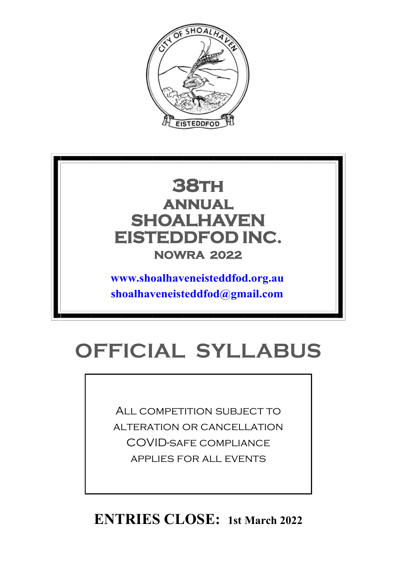



# **OFFICIAL SYLLABUS**

ALL COMPETITION SUBJECT TO alteration or cancellation COVID-safe compliance applies for all events

**ENTRIES CLOSE: 1st March 2022**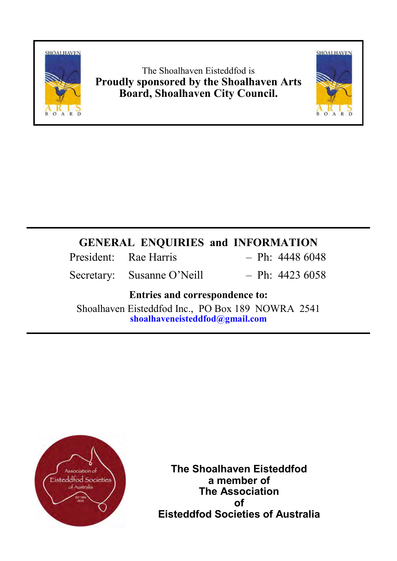

The Shoalhaven Eisteddfod is **Proudly sponsored by the Shoalhaven Arts Board, Shoalhaven City Council.**



## **GENERAL ENQUIRIES and INFORMATION**

| President: Rae Harris      | $-$ Ph: 4448 6048 |
|----------------------------|-------------------|
| Secretary: Susanne O'Neill | $-$ Ph: 4423 6058 |

## **Entries and correspondence to:**

Shoalhaven Eisteddfod Inc., PO Box 189 NOWRA 2541 **[shoalhaveneisteddfod@gmail.com](mailto:shoalhaveneisteddfod@gmail.com)**



**The Shoalhaven Eisteddfod a member of The Association of Eisteddfod Societies of Australia**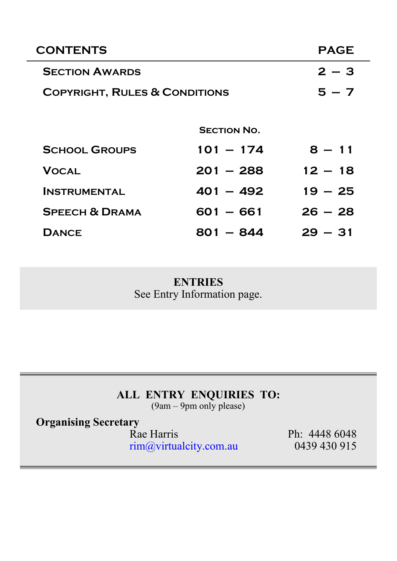| <b>CONTENTS</b>                          |                    | <b>PAGE</b> |
|------------------------------------------|--------------------|-------------|
| <b>SECTION AWARDS</b>                    |                    | $2 - 3$     |
| <b>COPYRIGHT, RULES &amp; CONDITIONS</b> |                    | $5 - 7$     |
|                                          |                    |             |
|                                          | <b>SECTION NO.</b> |             |
| <b>SCHOOL GROUPS</b>                     | $101 - 174$        | $8 - 11$    |
| <b>VOCAL</b>                             | $201 - 288$        | $12 - 18$   |
| <b>INSTRUMENTAL</b>                      | $401 - 492$        | $19 - 25$   |
| <b>SPEECH &amp; DRAMA</b>                | 601 - 661          | $26 - 28$   |
| <b>DANCE</b>                             | 801 - 844          | $29 - 31$   |

**ENTRIES** See Entry Information page.

## **ALL ENTRY ENQUIRIES TO:**

(9am – 9pm only please)

**Organising Secretary**

Rae Harris [rim@virtualcity.com.au](mailto:rim@virtualcity.com.au) Ph: 4448 6048 0439 430 915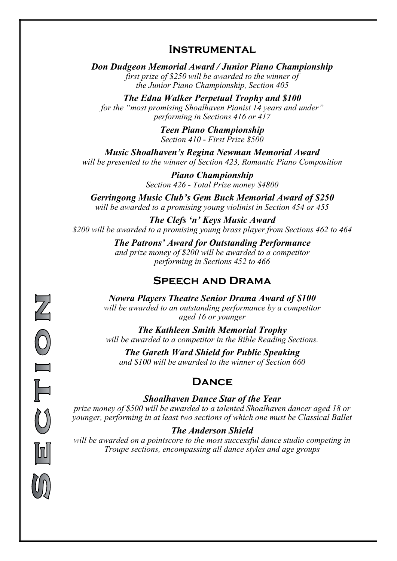### **Instrumental**

<span id="page-3-0"></span>*Don Dudgeon Memorial Award / Junior Piano Championship first prize of \$250 will be awarded to the winner of the Junior Piano Championship, Section 405*

*The Edna Walker Perpetual Trophy and \$100 for the "most promising Shoalhaven Pianist 14 years and under" performing in Sections 416 or 417*

> *Teen Piano Championship Section 410 - First Prize \$500*

*Music Shoalhaven's Regina Newman Memorial Award will be presented to the winner of Section 423, Romantic Piano Composition*

> *Piano Championship Section 426 - Total Prize money \$4800*

*Gerringong Music Club's Gem Buck Memorial Award of \$250 will be awarded to a promising young violinist in Section 454 or 455*

*The Clefs 'n' Keys Music Award \$200 will be awarded to a promising young brass player from Sections 462 to 464*

> *The Patrons' Award for Outstanding Performance and prize money of \$200 will be awarded to a competitor performing in Sections 452 to 466*

#### **Speech and Drama**

*Nowra Players Theatre Senior Drama Award of \$100 will be awarded to an outstanding performance by a competitor aged 16 or younger*

*The Kathleen Smith Memorial Trophy will be awarded to a competitor in the Bible Reading Sections.*

*The Gareth Ward Shield for Public Speaking and \$100 will be awarded to the winner of Section 660*

**ZOIP** 

#### **Dance**

*Shoalhaven Dance Star of the Year*

*prize money of \$500 will be awarded to a talented Shoalhaven dancer aged 18 or younger, performing in at least two sections of which one must be Classical Ballet*

#### *The Anderson Shield*

*will be awarded on a pointscore to the most successful dance studio competing in Troupe sections, encompassing all dance styles and age groups*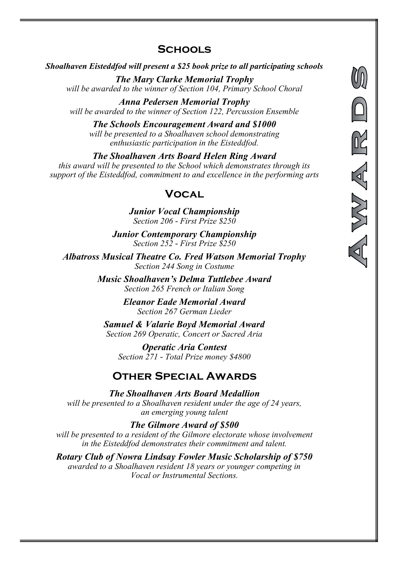## **Schools**

*Shoalhaven Eisteddfod will present a \$25 book prize to all participating schools*

*The Mary Clarke Memorial Trophy will be awarded to the winner of Section 104, Primary School Choral*

*Anna Pedersen Memorial Trophy will be awarded to the winner of Section 122, Percussion Ensemble*

*The Schools Encouragement Award and \$1000 will be presented to a Shoalhaven school demonstrating enthusiastic participation in the Eisteddfod.*

*The Shoalhaven Arts Board Helen Ring Award this award will be presented to the School which demonstrates through its support of the Eisteddfod, commitment to and excellence in the performing arts*

## **Vocal**

*Junior Vocal Championship Section 206 - First Prize \$250*

*Junior Contemporary Championship Section 252 - First Prize \$250*

*Albatross Musical Theatre Co. Fred Watson Memorial Trophy Section 244 Song in Costume*

> *Music Shoalhaven's Delma Tuttlebee Award Section 265 French or Italian Song*

> > *Eleanor Eade Memorial Award Section 267 German Lieder*

*Samuel & Valarie Boyd Memorial Award Section 269 Operatic, Concert or Sacred Aria*

*Operatic Aria Contest Section 271 - Total Prize money \$4800*

## **Other Special Awards**

*The Shoalhaven Arts Board Medallion will be presented to a Shoalhaven resident under the age of 24 years, an emerging young talent*

*The Gilmore Award of \$500 will be presented to a resident of the Gilmore electorate whose involvement in the Eisteddfod demonstrates their commitment and talent.*

*Rotary Club of Nowra Lindsay Fowler Music Scholarship of \$750 awarded to a Shoalhaven resident 18 years or younger competing in Vocal or Instrumental Sections.*

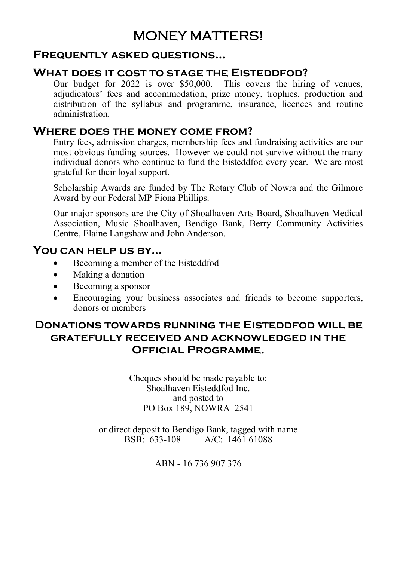## MONEY MATTERS!

## **Frequently asked questions…**

## **What does it cost to stage the Eisteddfod?**

Our budget for 2022 is over \$50,000. This covers the hiring of venues, adjudicators' fees and accommodation, prize money, trophies, production and distribution of the syllabus and programme, insurance, licences and routine administration.

## **Where does the money come from?**

Entry fees, admission charges, membership fees and fundraising activities are our most obvious funding sources. However we could not survive without the many individual donors who continue to fund the Eisteddfod every year. We are most grateful for their loyal support.

Scholarship Awards are funded by The Rotary Club of Nowra and the Gilmore Award by our Federal MP Fiona Phillips.

Our major sponsors are the City of Shoalhaven Arts Board, Shoalhaven Medical Association, Music Shoalhaven, Bendigo Bank, Berry Community Activities Centre, Elaine Langshaw and John Anderson.

#### **You can help us by…**

- Becoming a member of the Eisteddfod
- Making a donation
- Becoming a sponsor
- Encouraging your business associates and friends to become supporters, donors or members

## **Donations towards running the Eisteddfod will be gratefully received and acknowledged in the Official Programme.**

Cheques should be made payable to: Shoalhaven Eisteddfod Inc. and posted to PO Box 189, NOWRA 2541

or direct deposit to Bendigo Bank, tagged with name BSB: 633-108 A/C: 1461 61088

ABN - 16 736 907 376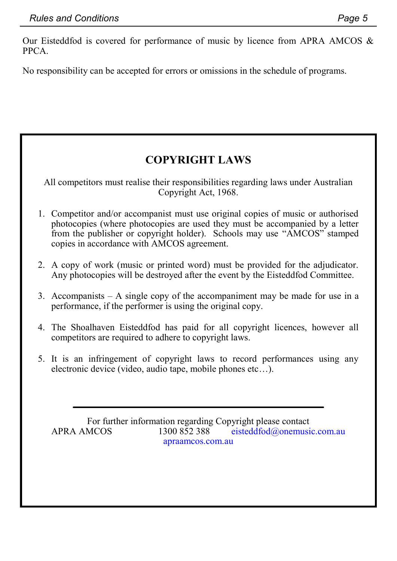<span id="page-6-0"></span>Our Eisteddfod is covered for performance of music by licence from APRA AMCOS & PPCA.

No responsibility can be accepted for errors or omissions in the schedule of programs.

## **COPYRIGHT LAWS**

All competitors must realise their responsibilities regarding laws under Australian Copyright Act, 1968.

- 1. Competitor and/or accompanist must use original copies of music or authorised photocopies (where photocopies are used they must be accompanied by a letter from the publisher or copyright holder). Schools may use "AMCOS" stamped copies in accordance with AMCOS agreement.
- 2. A copy of work (music or printed word) must be provided for the adjudicator. Any photocopies will be destroyed after the event by the Eisteddfod Committee.
- 3. Accompanists  $-A$  single copy of the accompaniment may be made for use in a performance, if the performer is using the original copy.
- 4. The Shoalhaven Eisteddfod has paid for all copyright licences, however all competitors are required to adhere to copyright laws.
- 5. It is an infringement of copyright laws to record performances using any electronic device (video, audio tape, mobile phones etc…).

For further information regarding Copyright please contact<br>APRA AMCOS 1300 852 388 eisteddfod@onemusi  $1300 852 388$  [eisteddfod@onemusic.com.au](mailto:eisteddfod@onemusic.com.au) [apraamcos.com.au](http://apraamcos.com.au)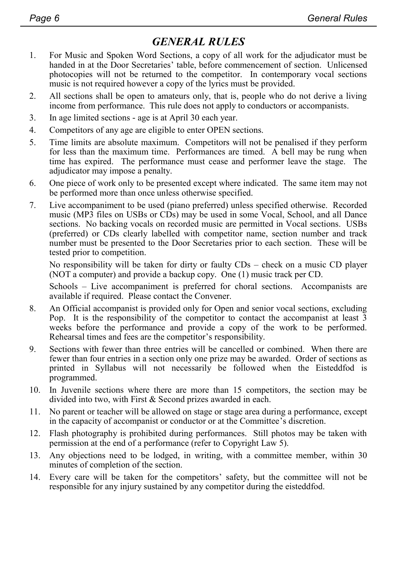## *GENERAL RULES*

- 1. For Music and Spoken Word Sections, a copy of all work for the adjudicator must be handed in at the Door Secretaries' table, before commencement of section. Unlicensed photocopies will not be returned to the competitor. In contemporary vocal sections music is not required however a copy of the lyrics must be provided.
- 2. All sections shall be open to amateurs only, that is, people who do not derive a living income from performance. This rule does not apply to conductors or accompanists.
- 3. In age limited sections age is at April 30 each year.
- 4. Competitors of any age are eligible to enter OPEN sections.
- 5. Time limits are absolute maximum. Competitors will not be penalised if they perform for less than the maximum time. Performances are timed. A bell may be rung when time has expired. The performance must cease and performer leave the stage. The adjudicator may impose a penalty.
- 6. One piece of work only to be presented except where indicated. The same item may not be performed more than once unless otherwise specified.
- 7. Live accompaniment to be used (piano preferred) unless specified otherwise. Recorded music (MP3 files on USBs or CDs) may be used in some Vocal, School, and all Dance sections. No backing vocals on recorded music are permitted in Vocal sections. USBs (preferred) or CDs clearly labelled with competitor name, section number and track number must be presented to the Door Secretaries prior to each section. These will be tested prior to competition.

No responsibility will be taken for dirty or faulty CDs – check on a music CD player (NOT a computer) and provide a backup copy. One (1) music track per CD.

Schools – Live accompaniment is preferred for choral sections. Accompanists are available if required. Please contact the Convener.

- 8. An Official accompanist is provided only for Open and senior vocal sections, excluding Pop. It is the responsibility of the competitor to contact the accompanist at least  $\overline{3}$ weeks before the performance and provide a copy of the work to be performed. Rehearsal times and fees are the competitor's responsibility.
- 9. Sections with fewer than three entries will be cancelled or combined. When there are fewer than four entries in a section only one prize may be awarded. Order of sections as printed in Syllabus will not necessarily be followed when the Eisteddfod is programmed.
- 10. In Juvenile sections where there are more than 15 competitors, the section may be divided into two, with First & Second prizes awarded in each.
- 11. No parent or teacher will be allowed on stage or stage area during a performance, except in the capacity of accompanist or conductor or at the Committee's discretion.
- 12. Flash photography is prohibited during performances. Still photos may be taken with permission at the end of a performance (refer to Copyright Law 5).
- 13. Any objections need to be lodged, in writing, with a committee member, within 30 minutes of completion of the section.
- 14. Every care will be taken for the competitors' safety, but the committee will not be responsible for any injury sustained by any competitor during the eisteddfod.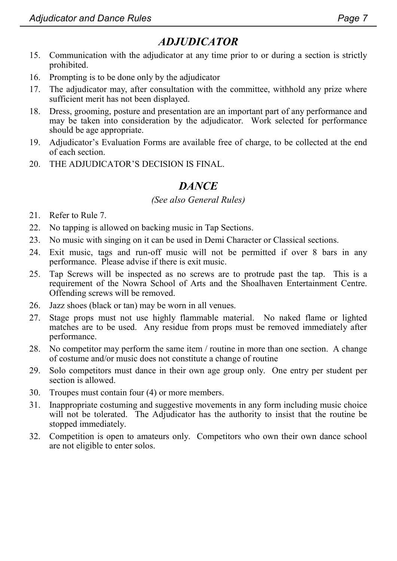## *ADJUDICATOR*

- 15. Communication with the adjudicator at any time prior to or during a section is strictly prohibited.
- 16. Prompting is to be done only by the adjudicator
- 17. The adjudicator may, after consultation with the committee, withhold any prize where sufficient merit has not been displayed.
- 18. Dress, grooming, posture and presentation are an important part of any performance and may be taken into consideration by the adjudicator. Work selected for performance should be age appropriate.
- 19. Adjudicator's Evaluation Forms are available free of charge, to be collected at the end of each section.
- 20. THE ADJUDICATOR'S DECISION IS FINAL.

## *DANCE*

#### *(See also General Rules)*

- 21. Refer to Rule 7.
- 22. No tapping is allowed on backing music in Tap Sections.
- 23. No music with singing on it can be used in Demi Character or Classical sections.
- 24. Exit music, tags and run-off music will not be permitted if over 8 bars in any performance. Please advise if there is exit music.
- 25. Tap Screws will be inspected as no screws are to protrude past the tap. This is a requirement of the Nowra School of Arts and the Shoalhaven Entertainment Centre. Offending screws will be removed.
- 26. Jazz shoes (black or tan) may be worn in all venues.
- 27. Stage props must not use highly flammable material. No naked flame or lighted matches are to be used. Any residue from props must be removed immediately after performance.
- 28. No competitor may perform the same item / routine in more than one section. A change of costume and/or music does not constitute a change of routine
- 29. Solo competitors must dance in their own age group only. One entry per student per section is allowed.
- 30. Troupes must contain four (4) or more members.
- 31. Inappropriate costuming and suggestive movements in any form including music choice will not be tolerated. The Adjudicator has the authority to insist that the routine be stopped immediately.
- 32. Competition is open to amateurs only. Competitors who own their own dance school are not eligible to enter solos.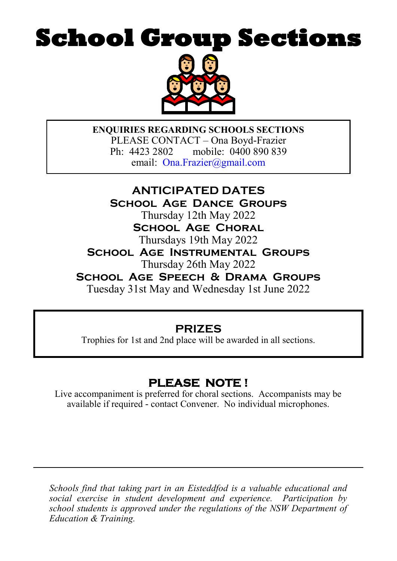# <span id="page-9-0"></span>**School Group Sections**



**ENQUIRIES REGARDING SCHOOLS SECTIONS** PLEASE CONTACT – Ona Boyd-Frazier<br>Ph: 4423 2802 mobile: 0400 890 839 mobile: 0400 890 839 email: [Ona.Frazier@gmail.com](mailto:Ona.Frazier@gmail.com)

**ANTICIPATED DATES School Age Dance Groups** Thursday 12th May 2022 **School Age Choral** Thursdays 19th May 2022 **School Age Instrumental Groups** Thursday 26th May 2022 **School Age Speech & Drama Groups** Tuesday 31st May and Wednesday 1st June 2022

## **PRIZES**

Trophies for 1st and 2nd place will be awarded in all sections.

## **PLEASE NOTE !**

Live accompaniment is preferred for choral sections. Accompanists may be available if required - contact Convener. No individual microphones.

*Schools find that taking part in an Eisteddfod is a valuable educational and social exercise in student development and experience. Participation by school students is approved under the regulations of the NSW Department of Education & Training.*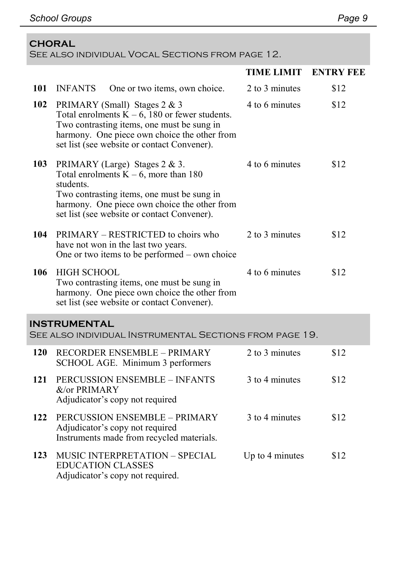## **CHORAL**

See also individual Vocal Sections from [page 12.](#page-13-0)

|     |                                                                                                                                                                                                                                     | <b>TIME LIMIT</b> | <b>ENTRY FEE</b> |
|-----|-------------------------------------------------------------------------------------------------------------------------------------------------------------------------------------------------------------------------------------|-------------------|------------------|
| 101 | <b>INFANTS</b><br>One or two items, own choice.                                                                                                                                                                                     | 2 to 3 minutes    | \$12             |
| 102 | PRIMARY (Small) Stages 2 & 3<br>Total enrolments $K - 6$ , 180 or fewer students.<br>Two contrasting items, one must be sung in<br>harmony. One piece own choice the other from<br>set list (see website or contact Convener).      | 4 to 6 minutes    | \$12             |
| 103 | PRIMARY (Large) Stages 2 & 3.<br>Total enrolments $K - 6$ , more than 180<br>students.<br>Two contrasting items, one must be sung in<br>harmony. One piece own choice the other from<br>set list (see website or contact Convener). | 4 to 6 minutes    | \$12             |
| 104 | PRIMARY - RESTRICTED to choirs who<br>have not won in the last two years.<br>One or two items to be performed $-$ own choice                                                                                                        | 2 to 3 minutes    | \$12             |
| 106 | <b>HIGH SCHOOL</b><br>Two contrasting items, one must be sung in<br>harmony. One piece own choice the other from<br>set list (see website or contact Convener).                                                                     | 4 to 6 minutes    | \$12             |
|     | INSTRUMENTAL<br>SEE ALSO INDIVIDUAL INSTRUMENTAL SECTIONS FROM PAGE 19.                                                                                                                                                             |                   |                  |
| 120 | <b>RECORDER ENSEMBLE - PRIMARY</b><br>SCHOOL AGE. Minimum 3 performers                                                                                                                                                              | 2 to 3 minutes    | \$12             |
| 121 | <b>PERCUSSION ENSEMBLE - INFANTS</b><br>&/or PRIMARY<br>Adjudicator's copy not required                                                                                                                                             | 3 to 4 minutes    | \$12             |
| 122 | PERCUSSION ENSEMBLE - PRIMARY<br>Adjudicator's copy not required<br>Instruments made from recycled materials.                                                                                                                       | 3 to 4 minutes    | \$12             |
| 123 | MUSIC INTERPRETATION - SPECIAL<br><b>EDUCATION CLASSES</b><br>Adjudicator's copy not required.                                                                                                                                      | Up to 4 minutes   | \$12             |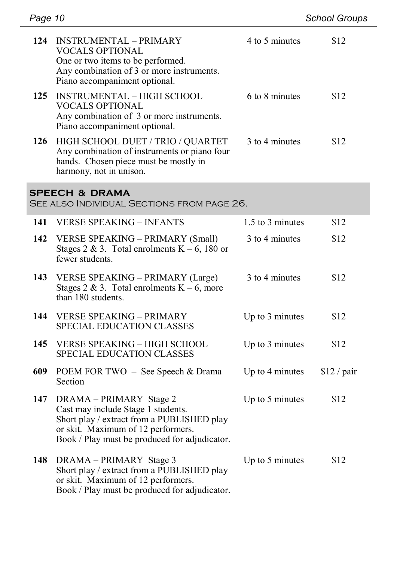| 124 | <b>INSTRUMENTAL - PRIMARY</b><br><b>VOCALS OPTIONAL</b><br>One or two items to be performed.<br>Any combination of 3 or more instruments.<br>Piano accompaniment optional. | 4 to 5 minutes | \$12 |
|-----|----------------------------------------------------------------------------------------------------------------------------------------------------------------------------|----------------|------|
| 125 | <b>INSTRUMENTAL - HIGH SCHOOL</b><br>VOCALS OPTIONAL<br>Any combination of 3 or more instruments.<br>Piano accompaniment optional.                                         | 6 to 8 minutes | \$12 |
|     | 126 HIGH SCHOOL DUET / TRIO / QUARTET<br>Any combination of instruments or piano four<br>hands. Chosen piece must be mostly in<br>harmony, not in unison.                  | 3 to 4 minutes | \$12 |

#### **SPEECH & DRAMA**

See also Individual Sections from [page 26.](#page-27-0)

| 141 | <b>VERSE SPEAKING - INFANTS</b>                                                                                                                                                                    | 1.5 to 3 minutes | \$12         |
|-----|----------------------------------------------------------------------------------------------------------------------------------------------------------------------------------------------------|------------------|--------------|
|     | 142 VERSE SPEAKING - PRIMARY (Small)<br>Stages 2 & 3. Total enrolments $K - 6$ , 180 or<br>fewer students.                                                                                         | 3 to 4 minutes   | \$12         |
| 143 | VERSE SPEAKING - PRIMARY (Large)<br>Stages 2 & 3. Total enrolments $K - 6$ , more<br>than 180 students.                                                                                            | 3 to 4 minutes   | \$12         |
| 144 | <b>VERSE SPEAKING - PRIMARY</b><br><b>SPECIAL EDUCATION CLASSES</b>                                                                                                                                | Up to 3 minutes  | \$12         |
| 145 | <b>VERSE SPEAKING - HIGH SCHOOL</b><br>SPECIAL EDUCATION CLASSES                                                                                                                                   | Up to 3 minutes  | \$12         |
| 609 | POEM FOR TWO – See Speech & Drama<br>Section                                                                                                                                                       | Up to 4 minutes  | $$12$ / pair |
| 147 | DRAMA - PRIMARY Stage 2<br>Cast may include Stage 1 students.<br>Short play / extract from a PUBLISHED play<br>or skit. Maximum of 12 performers.<br>Book / Play must be produced for adjudicator. | Up to 5 minutes  | \$12         |
| 148 | DRAMA - PRIMARY Stage 3<br>Short play / extract from a PUBLISHED play<br>or skit. Maximum of 12 performers.<br>Book / Play must be produced for adjudicator.                                       | Up to 5 minutes  | \$12         |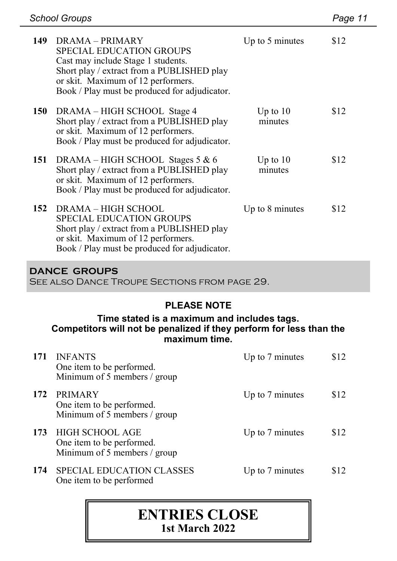| 149        | DRAMA – PRIMARY<br><b>SPECIAL EDUCATION GROUPS</b><br>Cast may include Stage 1 students.<br>Short play / extract from a PUBLISHED play<br>or skit. Maximum of 12 performers.<br>Book / Play must be produced for adjudicator. | Up to 5 minutes       | \$12 |
|------------|-------------------------------------------------------------------------------------------------------------------------------------------------------------------------------------------------------------------------------|-----------------------|------|
| <b>150</b> | DRAMA – HIGH SCHOOL Stage 4<br>Short play / extract from a PUBLISHED play<br>or skit. Maximum of 12 performers.<br>Book / Play must be produced for adjudicator.                                                              | Up to $10$<br>minutes | \$12 |
| 151        | DRAMA – HIGH SCHOOL Stages $5 & 6$<br>Short play / extract from a PUBLISHED play<br>or skit. Maximum of 12 performers.<br>Book / Play must be produced for adjudicator.                                                       | Up to $10$<br>minutes | \$12 |
| 152        | DRAMA – HIGH SCHOOL<br>SPECIAL EDUCATION GROUPS<br>Short play / extract from a PUBLISHED play<br>or skit. Maximum of 12 performers.<br>Book / Play must be produced for adjudicator.                                          | Up to 8 minutes       | \$12 |

#### **DANCE GROUPS**

See also Dance Troupe Sections from [page 29.](#page-30-0)

## **PLEASE NOTE**

#### **Time stated is a maximum and includes tags. Competitors will not be penalized if they perform for less than the maximum time.**

| 171 | <b>INFANTS</b><br>One item to be performed.<br>Minimum of 5 members / group    | Up to 7 minutes | \$12 |
|-----|--------------------------------------------------------------------------------|-----------------|------|
| 172 | <b>PRIMARY</b><br>One item to be performed.<br>Minimum of 5 members / group    | Up to 7 minutes | \$12 |
| 173 | - HIGH SCHOOL AGE<br>One item to be performed.<br>Minimum of 5 members / group | Up to 7 minutes | \$12 |
| 174 | <b>SPECIAL EDUCATION CLASSES</b><br>One item to be performed                   | Up to 7 minutes | \$12 |

## **ENTRIES CLOSE 1st March 2022**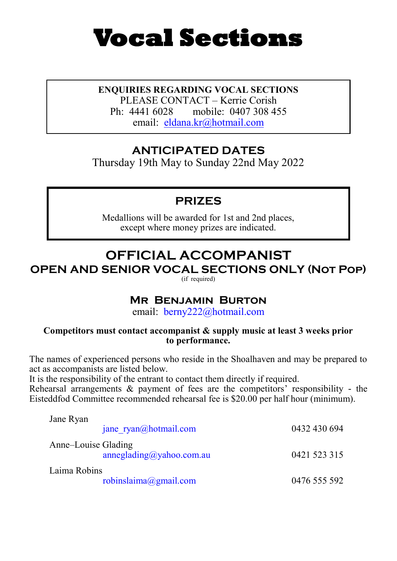# <span id="page-13-0"></span>**Vocal Sections**

**ENQUIRIES REGARDING VOCAL SECTIONS** PLEASE CONTACT – Kerrie Corish Ph: 4441 6028 mobile: 0407 308 455 email: [eldana.kr@hotmail.com](mailto:eldana.kr@hotmail.com)

## **ANTICIPATED DATES**

Thursday 19th May to Sunday 22nd May 2022

## **PRIZES**

Medallions will be awarded for 1st and 2nd places, except where money prizes are indicated.

## **OFFICIAL ACCOMPANIST**

**OPEN AND SENIOR VOCAL SECTIONS ONLY (Not Pop)**

(if required)

## **Mr Benjamin Burton**

email: [berny222@hotmail.com](mailto:berny222@hotmail.com)

#### **Competitors must contact accompanist & supply music at least 3 weeks prior to performance.**

The names of experienced persons who reside in the Shoalhaven and may be prepared to act as accompanists are listed below.

It is the responsibility of the entrant to contact them directly if required.

Rehearsal arrangements & payment of fees are the competitors' responsibility - the Eisteddfod Committee recommended rehearsal fee is \$20.00 per half hour (minimum).

| Jane Ryan                                       |              |
|-------------------------------------------------|--------------|
| jane ryan@hotmail.com                           | 0432 430 694 |
| Anne-Louise Glading<br>anneglading@yahoo.com.au | 0421 523 315 |
| Laima Robins<br>robinslaima@gmail.com           | 0476 555 592 |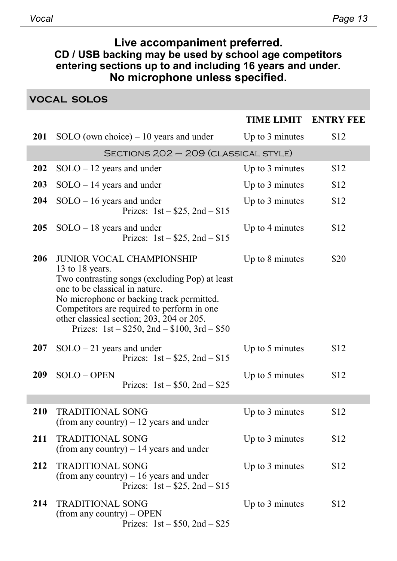## **Live accompaniment preferred. CD / USB backing may be used by school age competitors entering sections up to and including 16 years and under. No microphone unless specified.**

## **VOCAL SOLOS**

|     |                                                                                                                                                                                                                                                                                                                                      | <b>TIME LIMIT</b> | <b>ENTRY FEE</b> |
|-----|--------------------------------------------------------------------------------------------------------------------------------------------------------------------------------------------------------------------------------------------------------------------------------------------------------------------------------------|-------------------|------------------|
| 201 | SOLO (own choice) $-10$ years and under                                                                                                                                                                                                                                                                                              | Up to 3 minutes   | \$12             |
|     | SECTIONS 202 - 209 (CLASSICAL STYLE)                                                                                                                                                                                                                                                                                                 |                   |                  |
| 202 | $S OLO - 12$ years and under                                                                                                                                                                                                                                                                                                         | Up to 3 minutes   | \$12             |
| 203 | $S OLO - 14$ years and under                                                                                                                                                                                                                                                                                                         | Up to 3 minutes   | \$12             |
| 204 | $S OLO - 16$ years and under<br>Prizes: $1st - $25$ , $2nd - $15$                                                                                                                                                                                                                                                                    | Up to 3 minutes   | \$12             |
| 205 | $S OLO - 18$ years and under<br>Prizes: $1st - $25$ , $2nd - $15$                                                                                                                                                                                                                                                                    | Up to 4 minutes   | \$12             |
| 206 | <b>JUNIOR VOCAL CHAMPIONSHIP</b><br>13 to 18 years.<br>Two contrasting songs (excluding Pop) at least<br>one to be classical in nature.<br>No microphone or backing track permitted.<br>Competitors are required to perform in one<br>other classical section; 203, 204 or 205.<br>Prizes: $1st - $250$ , $2nd - $100$ , $3rd - $50$ | Up to 8 minutes   | \$20             |
| 207 | $S OLO - 21$ years and under<br>Prizes: $1st - $25$ , $2nd - $15$                                                                                                                                                                                                                                                                    | Up to 5 minutes   | \$12             |
| 209 | SOLO-OPEN<br>Prizes: $1st - $50$ , $2nd - $25$                                                                                                                                                                                                                                                                                       | Up to 5 minutes   | \$12             |
|     |                                                                                                                                                                                                                                                                                                                                      |                   |                  |
| 210 | <b>TRADITIONAL SONG</b><br>(from any country) $-12$ years and under                                                                                                                                                                                                                                                                  | Up to 3 minutes   | \$12             |
| 211 | <b>TRADITIONAL SONG</b><br>(from any country) $-14$ years and under                                                                                                                                                                                                                                                                  | Up to 3 minutes   | \$12             |
| 212 | <b>TRADITIONAL SONG</b><br>(from any country) $-16$ years and under<br>Prizes: $1st - $25$ , $2nd - $15$                                                                                                                                                                                                                             | Up to 3 minutes   | \$12             |
| 214 | <b>TRADITIONAL SONG</b><br>(from any country) - OPEN                                                                                                                                                                                                                                                                                 | Up to 3 minutes   | \$12             |

Prizes:  $1st - $50$ ,  $2nd - $25$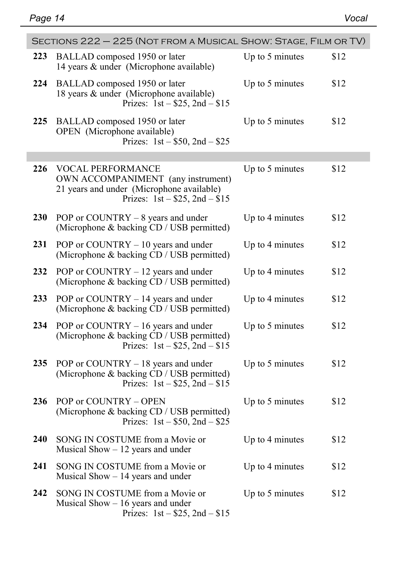|     | SECTIONS 222 - 225 (NOT FROM A MUSICAL SHOW: STAGE, FILM OR TV)                                                                                  |                 |      |
|-----|--------------------------------------------------------------------------------------------------------------------------------------------------|-----------------|------|
| 223 | BALLAD composed 1950 or later<br>14 years & under (Microphone available)                                                                         | Up to 5 minutes | \$12 |
| 224 | BALLAD composed 1950 or later<br>18 years & under (Microphone available)<br>Prizes: $1st - $25$ , $2nd - $15$                                    | Up to 5 minutes | \$12 |
| 225 | BALLAD composed 1950 or later<br>OPEN (Microphone available)<br>Prizes: $1st - $50$ , $2nd - $25$                                                | Up to 5 minutes | \$12 |
|     |                                                                                                                                                  |                 |      |
| 226 | <b>VOCAL PERFORMANCE</b><br>OWN ACCOMPANIMENT (any instrument)<br>21 years and under (Microphone available)<br>Prizes: $1st - $25$ , $2nd - $15$ | Up to 5 minutes | \$12 |
| 230 | POP or COUNTRY - 8 years and under<br>(Microphone & backing CD / USB permitted)                                                                  | Up to 4 minutes | \$12 |
| 231 | POP or COUNTRY - 10 years and under<br>(Microphone & backing CD / USB permitted)                                                                 | Up to 4 minutes | \$12 |
| 232 | POP or COUNTRY - 12 years and under<br>(Microphone & backing CD / USB permitted)                                                                 | Up to 4 minutes | \$12 |
| 233 | POP or COUNTRY - 14 years and under<br>(Microphone & backing CD / USB permitted)                                                                 | Up to 4 minutes | \$12 |
| 234 | POP or COUNTRY - 16 years and under<br>(Microphone & backing CD / USB permitted)<br>Prizes: $1st - $25$ , $2nd - $15$                            | Up to 5 minutes | \$12 |
| 235 | POP or COUNTRY - 18 years and under<br>(Microphone & backing CD / USB permitted)<br>Prizes: $1st - $25$ , $2nd - $15$                            | Up to 5 minutes | \$12 |
| 236 | POP or COUNTRY - OPEN<br>(Microphone & backing CD / USB permitted)<br>Prizes: $1st - $50$ , $2nd - $25$                                          | Up to 5 minutes | \$12 |
| 240 | SONG IN COSTUME from a Movie or<br>Musical Show $-12$ years and under                                                                            | Up to 4 minutes | \$12 |
| 241 | SONG IN COSTUME from a Movie or<br>Musical Show $-14$ years and under                                                                            | Up to 4 minutes | \$12 |
| 242 | SONG IN COSTUME from a Movie or<br>Musical Show $-16$ years and under<br>Prizes: $1st - $25$ , $2nd - $15$                                       | Up to 5 minutes | \$12 |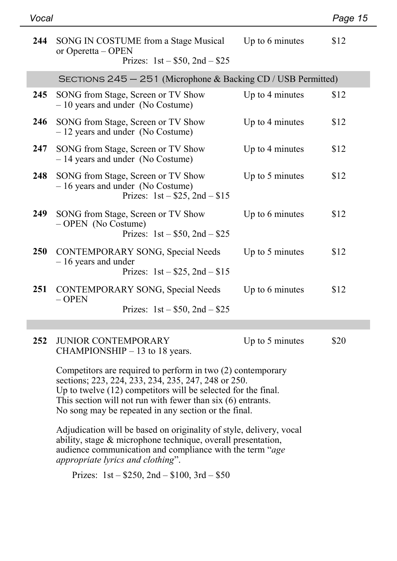| Vocal      |                                                                                                               |                           | Page 15 |
|------------|---------------------------------------------------------------------------------------------------------------|---------------------------|---------|
| 244        | SONG IN COSTUME from a Stage Musical<br>or Operetta - OPEN<br>Prizes: $1st - $50$ , $2nd - $25$               | Up to 6 minutes           | \$12    |
|            | SECTIONS $245 - 251$ (Microphone & Backing CD / USB Permitted)                                                |                           |         |
| 245        | SONG from Stage, Screen or TV Show<br>$-10$ years and under (No Costume)                                      | Up to 4 minutes           | \$12    |
| 246        | SONG from Stage, Screen or TV Show<br>$-12$ years and under (No Costume)                                      | Up to 4 minutes           | \$12    |
| 247        | SONG from Stage, Screen or TV Show<br>- 14 years and under (No Costume)                                       | Up to 4 minutes           | \$12    |
| 248        | SONG from Stage, Screen or TV Show<br>$-16$ years and under (No Costume)<br>Prizes: $1st - $25$ , $2nd - $15$ | Up to 5 minutes           | \$12    |
| 249        | SONG from Stage, Screen or TV Show<br>- OPEN (No Costume)<br>Prizes: $1st - $50$ , $2nd - $25$                | Up to 6 minutes           | \$12    |
| <b>250</b> | CONTEMPORARY SONG, Special Needs<br>$-16$ years and under<br>Prizes: $1st - $25$ , $2nd - $15$                | Up to $5 \text{ minutes}$ | \$12    |
| 251        | CONTEMPORARY SONG, Special Needs<br>$-$ OPEN<br>Prizes: $1st - $50$ , $2nd - $25$                             | Up to 6 minutes           | \$12    |

#### **252** JUNIOR CONTEMPORARY CHAMPIONSHIP – 13 to 18 years.

Up to 5 minutes  $$20$ 

Competitors are required to perform in two (2) contemporary sections; 223, 224, 233, 234, 235, 247, 248 or 250. Up to twelve (12) competitors will be selected for the final. This section will not run with fewer than six (6) entrants. No song may be repeated in any section or the final.

Adjudication will be based on originality of style, delivery, vocal ability, stage & microphone technique, overall presentation, audience communication and compliance with the term "*age appropriate lyrics and clothing*".

Prizes: 1st – \$250, 2nd – \$100, 3rd – \$50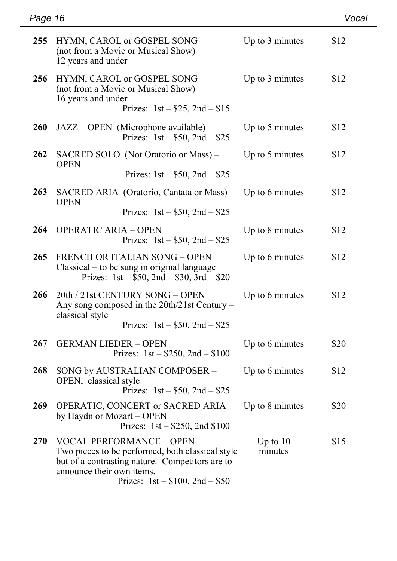| 255 | HYMN, CAROL or GOSPEL SONG<br>(not from a Movie or Musical Show)<br>12 years and under                                                                                                                                                  | Up to 3 minutes       | \$12 |
|-----|-----------------------------------------------------------------------------------------------------------------------------------------------------------------------------------------------------------------------------------------|-----------------------|------|
| 256 | HYMN, CAROL or GOSPEL SONG<br>(not from a Movie or Musical Show)<br>16 years and under<br>Prizes: $1st - $25$ , $2nd - $15$                                                                                                             | Up to 3 minutes       | \$12 |
| 260 | JAZZ - OPEN (Microphone available)<br>Prizes: $1st - $50$ , $2nd - $25$                                                                                                                                                                 | Up to 5 minutes       | \$12 |
| 262 | SACRED SOLO (Not Oratorio or Mass) -<br><b>OPEN</b><br>Prizes: $1st - $50$ , $2nd - $25$                                                                                                                                                | Up to 5 minutes       | \$12 |
| 263 | SACRED ARIA (Oratorio, Cantata or Mass) -<br><b>OPEN</b><br>Prizes: $1st - $50$ , $2nd - $25$                                                                                                                                           | Up to 6 minutes       | \$12 |
| 264 | <b>OPERATIC ARIA - OPEN</b><br>Prizes: $1st - $50$ , $2nd - $25$                                                                                                                                                                        | Up to 8 minutes       | \$12 |
| 265 | <b>FRENCH OR ITALIAN SONG - OPEN</b><br>$Classical - to be sung in original language$<br>Prizes: $1st - $50$ , $2nd - $30$ , $3rd - $20$                                                                                                | Up to 6 minutes       | \$12 |
| 266 | 20th / 21st CENTURY SONG - OPEN<br>Any song composed in the $20th/21st$ Century –<br>classical style<br>Prizes: $1st - $50$ , $2nd - $25$                                                                                               | Up to 6 minutes       | \$12 |
| 267 | <b>GERMAN LIEDER - OPEN</b><br>Prizes: $1st - $250$ , $2nd - $100$                                                                                                                                                                      | Up to 6 minutes       | \$20 |
| 268 | SONG by AUSTRALIAN COMPOSER -<br>OPEN, classical style<br>Prizes: $1st - $50$ , $2nd - $25$                                                                                                                                             | Up to 6 minutes       | \$12 |
| 269 | OPERATIC, CONCERT or SACRED ARIA<br>by Haydn or Mozart - OPEN<br>Prizes: $1st - $250$ , 2nd \$100                                                                                                                                       | Up to 8 minutes       | \$20 |
| 270 | <b>VOCAL PERFORMANCE - OPEN</b><br>Two pieces to be performed, both classical style<br>but of a contrasting nature. Competitors are to<br>announce their own items.<br>$\frac{1}{2}$ Drives: 1st $\frac{1}{2}$ 100 2nd $\frac{1}{2}$ 50 | Up to $10$<br>minutes | \$15 |

*Page 16 Vocal*

Prizes: 1st – \$100, 2nd – \$50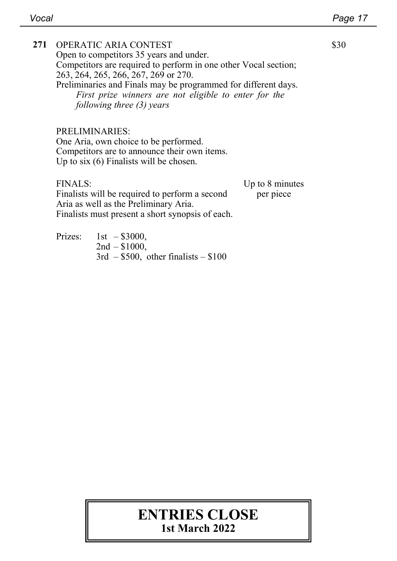### **271** OPERATIC ARIA CONTEST Open to competitors 35 years and under. Competitors are required to perform in one other Vocal section; 263, 264, 265, 266, 267, 269 or 270. Preliminaries and Finals may be programmed for different days. *First prize winners are not eligible to enter for the following three (3) years* \$30 PRELIMINARIES: One Aria, own choice to be performed.

Competitors are to announce their own items. Up to six (6) Finalists will be chosen.

FINALS: Finalists will be required to perform a second Up to 8 minutes per piece

Aria as well as the Preliminary Aria. Finalists must present a short synopsis of each.

Prizes: 1st – \$3000,  $2nd - $1000$ ,  $3rd - $500$ , other finalists  $- $100$ 

## **ENTRIES CLOSE 1st March 2022**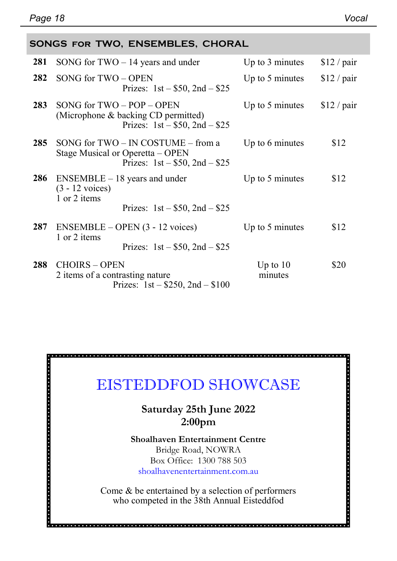|     | SONGS FOR TWO, ENSEMBLES, CHORAL                                                                                  |                       |             |
|-----|-------------------------------------------------------------------------------------------------------------------|-----------------------|-------------|
| 281 | SONG for $TWO - 14$ years and under                                                                               | Up to 3 minutes       | \$12 / pair |
| 282 | $SONG for TWO - OPER$<br>Prizes: $1st - $50$ , $2nd - $25$                                                        | Up to 5 minutes       | \$12 / pair |
| 283 | SONG for $TWO - POP - OPEN$<br>(Microphone & backing CD permitted)<br>Prizes: $1st - $50$ , $2nd - $25$           | Up to 5 minutes       | \$12 / pair |
| 285 | SONG for $TWO - IN COSTUME - from a$<br>Stage Musical or Operetta – OPEN<br>Prizes: $1st - $50$ , $2nd - $25$     | Up to 6 minutes       | \$12        |
| 286 | $ENSEMBLE - 18$ years and under<br>$(3 - 12 \text{ voices})$<br>1 or 2 items<br>Prizes: $1st - $50$ , $2nd - $25$ | Up to 5 minutes       | \$12        |
| 287 | $ENSEMBLE - OPER(3 - 12 \text{ voices})$<br>1 or 2 items<br>Prizes: $1st - $50$ , $2nd - $25$                     | Up to 5 minutes       | \$12        |
| 288 | <b>CHOIRS - OPEN</b><br>2 items of a contrasting nature<br>Prizes: $1st - $250$ , $2nd - $100$                    | Up to $10$<br>minutes | \$20        |

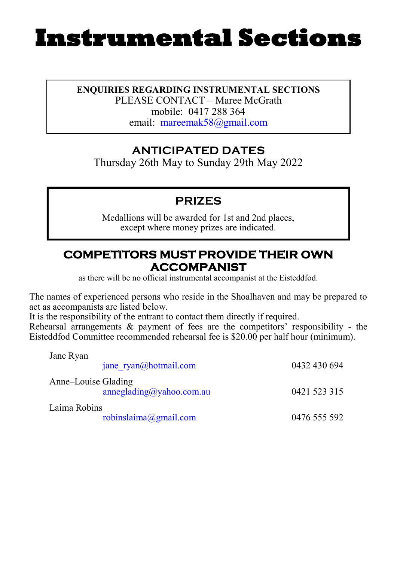## <span id="page-20-0"></span>**Instrumental Sections**

**ENQUIRIES REGARDING INSTRUMENTAL SECTIONS** PLEASE CONTACT – Maree McGrath mobile: 0417 288 364 email: [mareemak58@gmail.com](mailto:mareemak58@gmail.com)

## **ANTICIPATED DATES**

Thursday 26th May to Sunday 29th May 2022

## **PRIZES**

Medallions will be awarded for 1st and 2nd places, except where money prizes are indicated.

## **COMPETITORS MUST PROVIDE THEIR OWN ACCOMPANIST**

as there will be no official instrumental accompanist at the Eisteddfod.

The names of experienced persons who reside in the Shoalhaven and may be prepared to act as accompanists are listed below.

It is the responsibility of the entrant to contact them directly if required.

Rehearsal arrangements & payment of fees are the competitors' responsibility - the Eisteddfod Committee recommended rehearsal fee is \$20.00 per half hour (minimum).

| Jane Ryan                |              |
|--------------------------|--------------|
| jane ryan@hotmail.com    | 0432 430 694 |
| Anne-Louise Glading      |              |
| anneglading@yahoo.com.au | 0421 523 315 |
| Laima Robins             |              |
| robinslaima@gmail.com    | 0476 555 592 |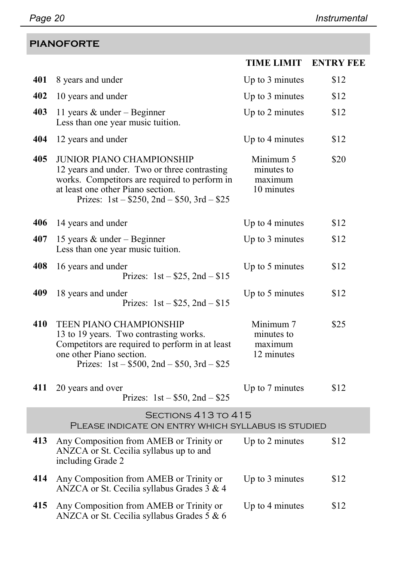## **PIANOFORTE**

|     |                                                                                                                                                                                                                            | <b>TIME LIMIT</b>                                | <b>ENTRY FEE</b> |
|-----|----------------------------------------------------------------------------------------------------------------------------------------------------------------------------------------------------------------------------|--------------------------------------------------|------------------|
| 401 | 8 years and under                                                                                                                                                                                                          | Up to 3 minutes                                  | \$12             |
| 402 | 10 years and under                                                                                                                                                                                                         | Up to 3 minutes                                  | \$12             |
| 403 | 11 years $&$ under – Beginner<br>Less than one year music tuition.                                                                                                                                                         | Up to 2 minutes                                  | \$12             |
| 404 | 12 years and under                                                                                                                                                                                                         | Up to 4 minutes                                  | \$12             |
| 405 | <b>JUNIOR PIANO CHAMPIONSHIP</b><br>12 years and under. Two or three contrasting<br>works. Competitors are required to perform in<br>at least one other Piano section.<br>Prizes: $1st - $250$ , $2nd - $50$ , $3rd - $25$ | Minimum 5<br>minutes to<br>maximum<br>10 minutes | \$20             |
| 406 | 14 years and under                                                                                                                                                                                                         | Up to 4 minutes                                  | \$12             |
| 407 | 15 years & under $-$ Beginner<br>Less than one year music tuition.                                                                                                                                                         | Up to 3 minutes                                  | \$12             |
| 408 | 16 years and under<br>Prizes: $1st - $25$ , $2nd - $15$                                                                                                                                                                    | Up to 5 minutes                                  | \$12             |
| 409 | 18 years and under<br>Prizes: $1st - $25$ , $2nd - $15$                                                                                                                                                                    | Up to 5 minutes                                  | \$12             |
| 410 | <b>TEEN PIANO CHAMPIONSHIP</b><br>13 to 19 years. Two contrasting works.<br>Competitors are required to perform in at least<br>one other Piano section.<br>Prizes: $1st - $500$ , $2nd - $50$ , $3rd - $25$                | Minimum 7<br>minutes to<br>maximum<br>12 minutes | \$25             |
| 411 | 20 years and over<br>Prizes: $1st - $50$ , $2nd - $25$                                                                                                                                                                     | Up to 7 minutes                                  | \$12             |
|     | SECTIONS 413 TO 415<br>PLEASE INDICATE ON ENTRY WHICH SYLLABUS IS STUDIED                                                                                                                                                  |                                                  |                  |
| 413 | Any Composition from AMEB or Trinity or<br>ANZCA or St. Cecilia syllabus up to and<br>including Grade 2                                                                                                                    | Up to 2 minutes                                  | \$12             |
| 414 | Any Composition from AMEB or Trinity or<br>ANZCA or St. Cecilia syllabus Grades 3 & 4                                                                                                                                      | Up to 3 minutes                                  | \$12             |
| 415 | Any Composition from AMEB or Trinity or<br>ANZCA or St. Cecilia syllabus Grades 5 & 6                                                                                                                                      | Up to 4 minutes                                  | \$12             |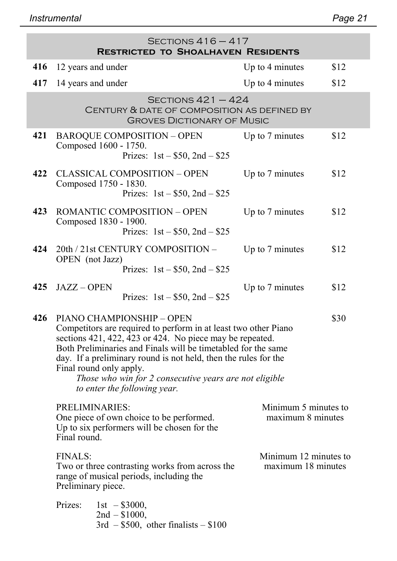*Instrumental Page 21*

|     |                                                      |                                   | SECTIONS $416 - 417$<br><b>RESTRICTED TO SHOALHAVEN RESIDENTS</b>                                                                                                                                                                                                                                                         |                                             |      |
|-----|------------------------------------------------------|-----------------------------------|---------------------------------------------------------------------------------------------------------------------------------------------------------------------------------------------------------------------------------------------------------------------------------------------------------------------------|---------------------------------------------|------|
| 416 | 12 years and under                                   |                                   |                                                                                                                                                                                                                                                                                                                           | Up to 4 minutes                             | \$12 |
| 417 | 14 years and under                                   |                                   |                                                                                                                                                                                                                                                                                                                           | Up to 4 minutes                             | \$12 |
|     |                                                      |                                   | $S$ ECTIONS $421 - 424$<br>CENTURY & DATE OF COMPOSITION AS DEFINED BY<br><b>GROVES DICTIONARY OF MUSIC</b>                                                                                                                                                                                                               |                                             |      |
| 421 | Composed 1600 - 1750.                                |                                   | <b>BAROQUE COMPOSITION - OPEN</b><br>Prizes: $1st - $50$ , $2nd - $25$                                                                                                                                                                                                                                                    | Up to 7 minutes                             | \$12 |
| 422 | Composed 1750 - 1830.                                |                                   | <b>CLASSICAL COMPOSITION – OPEN</b><br>Prizes: $1st - $50$ , $2nd - $25$                                                                                                                                                                                                                                                  | Up to 7 minutes                             | \$12 |
| 423 | Composed 1830 - 1900.                                |                                   | ROMANTIC COMPOSITION - OPEN<br>Prizes: $1st - $50$ , $2nd - $25$                                                                                                                                                                                                                                                          | Up to 7 minutes                             | \$12 |
| 424 | OPEN (not Jazz)                                      |                                   | 20th / 21st CENTURY COMPOSITION -<br>Prizes: $1st - $50$ , $2nd - $25$                                                                                                                                                                                                                                                    | Up to 7 minutes                             | \$12 |
| 425 | <b>JAZZ-OPEN</b>                                     |                                   | Prizes: $1st - $50$ , $2nd - $25$                                                                                                                                                                                                                                                                                         | Up to 7 minutes                             | \$12 |
| 426 | PIANO CHAMPIONSHIP - OPEN<br>Final round only apply. | to enter the following year.      | Competitors are required to perform in at least two other Piano<br>sections 421, 422, 423 or 424. No piece may be repeated.<br>Both Preliminaries and Finals will be timetabled for the same<br>day. If a preliminary round is not held, then the rules for the<br>Those who win for 2 consecutive years are not eligible |                                             | \$30 |
|     | PRELIMINARIES:<br>Final round.                       |                                   | One piece of own choice to be performed.<br>Up to six performers will be chosen for the                                                                                                                                                                                                                                   | Minimum 5 minutes to<br>maximum 8 minutes   |      |
|     | <b>FINALS:</b><br>Preliminary piece.                 |                                   | Two or three contrasting works from across the<br>range of musical periods, including the                                                                                                                                                                                                                                 | Minimum 12 minutes to<br>maximum 18 minutes |      |
|     | Prizes:                                              | 1st $-$ \$3000,<br>$2nd - $1000,$ | $3rd$ – \$500, other finalists – \$100                                                                                                                                                                                                                                                                                    |                                             |      |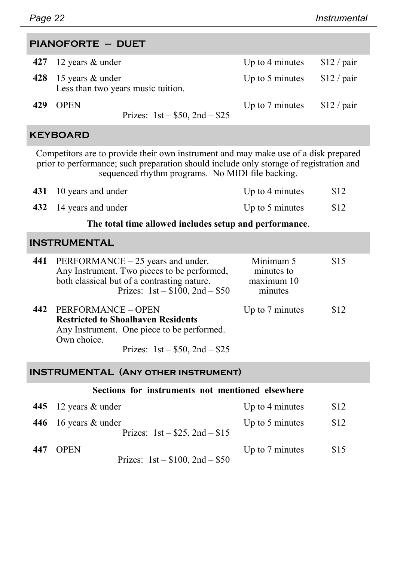|     | PIANOFORTE - DUET                                          |                           |              |
|-----|------------------------------------------------------------|---------------------------|--------------|
|     | 427 12 years $&$ under                                     | Up to 4 minutes           | $$12$ / pair |
|     | 428 15 years & under<br>Less than two years music tuition. | Up to $5 \text{ minutes}$ | \$12/pair    |
| 429 | <b>OPEN</b><br>Prizes: $1st - $50$ , $2nd - $25$           | Up to 7 minutes           | $$12$ / pair |

#### **KEYBOARD**

Competitors are to provide their own instrument and may make use of a disk prepared prior to performance; such preparation should include only storage of registration and sequenced rhythm programs. No MIDI file backing.

| 431 10 years and under | Up to 4 minutes | \$12 |
|------------------------|-----------------|------|
| 432 14 years and under | Up to 5 minutes | \$12 |

#### **The total time allowed includes setup and performance**.

### **INSTRUMENTAL**

| 441 | PERFORMANCE $-25$ years and under.<br>Any Instrument. Two pieces to be performed,<br>both classical but of a contrasting nature.<br>Prizes: $1st - $100$ , $2nd - $50$ | Minimum 5<br>minutes to<br>maximum 10<br>minutes | \$15 |
|-----|------------------------------------------------------------------------------------------------------------------------------------------------------------------------|--------------------------------------------------|------|
| 442 | PERFORMANCE - OPEN<br><b>Restricted to Shoalhaven Residents</b><br>Any Instrument. One piece to be performed.<br>Own choice.<br>Prizes: $1st - $50$ , $2nd - $25$      | Up to 7 minutes                                  | \$12 |

#### **INSTRUMENTAL (Any other instrument)**

|  | Sections for instruments not mentioned elsewhere |  |  |
|--|--------------------------------------------------|--|--|
|  |                                                  |  |  |

|     | 445 12 years $&$ under                                      | Up to 4 minutes           | \$12 |
|-----|-------------------------------------------------------------|---------------------------|------|
|     | 446 16 years $&$ under<br>Prizes: $1st - $25$ , $2nd - $15$ | Up to $5 \text{ minutes}$ | \$12 |
| 447 | <b>OPEN</b><br>Prizes: $1st - $100$ , $2nd - $50$           | Up to 7 minutes           | \$15 |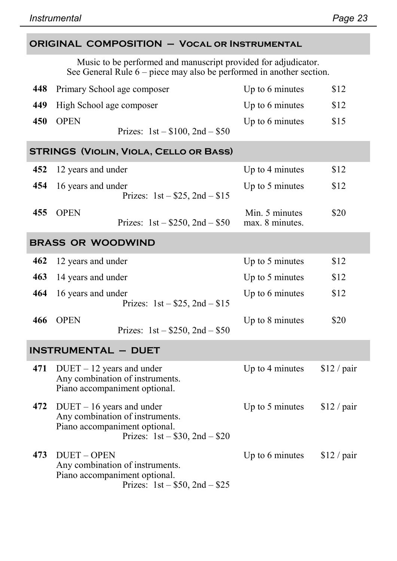## **ORIGINAL COMPOSITION – Vocal or Instrumental**

Music to be performed and manuscript provided for adjudicator. See General Rule 6 – piece may also be performed in another section.

| 448 | Primary School age composer                                                                                                          | Up to 6 minutes                   | \$12         |
|-----|--------------------------------------------------------------------------------------------------------------------------------------|-----------------------------------|--------------|
| 449 | High School age composer                                                                                                             | Up to 6 minutes                   | \$12         |
| 450 | <b>OPEN</b><br>Prizes: $1st - $100$ , $2nd - $50$                                                                                    | Up to 6 minutes                   | \$15         |
|     | <b>STRINGS (VIOLIN, VIOLA, CELLO OR BASS)</b>                                                                                        |                                   |              |
| 452 | 12 years and under                                                                                                                   | Up to 4 minutes                   | \$12         |
| 454 | 16 years and under<br>Prizes: $1st - $25$ , $2nd - $15$                                                                              | Up to 5 minutes                   | \$12         |
| 455 | <b>OPEN</b><br>Prizes: $1st - $250$ , $2nd - $50$                                                                                    | Min. 5 minutes<br>max. 8 minutes. | \$20         |
|     | <b>BRASS OR WOODWIND</b>                                                                                                             |                                   |              |
| 462 | 12 years and under                                                                                                                   | Up to 5 minutes                   | \$12         |
| 463 | 14 years and under                                                                                                                   | Up to 5 minutes                   | \$12         |
| 464 | 16 years and under<br>Prizes: $1st - $25$ , $2nd - $15$                                                                              | Up to 6 minutes                   | \$12         |
| 466 | <b>OPEN</b><br>Prizes: $1st - $250$ , $2nd - $50$                                                                                    | Up to 8 minutes                   | \$20         |
|     | <b>INSTRUMENTAL - DUET</b>                                                                                                           |                                   |              |
| 471 | DUET - 12 years and under<br>Any combination of instruments.<br>Piano accompaniment optional.                                        | Up to 4 minutes                   | $$12$ / pair |
| 472 | $DUET - 16$ years and under<br>Any combination of instruments.<br>Piano accompaniment optional.<br>Prizes: $1st - $30$ , $2nd - $20$ | Up to 5 minutes                   | $$12$ / pair |
| 473 | <b>DUET-OPEN</b><br>Any combination of instruments.<br>Piano accompaniment optional.<br>Prizes: $1st - $50$ , $2nd - $25$            | Up to 6 minutes                   | $$12$ / pair |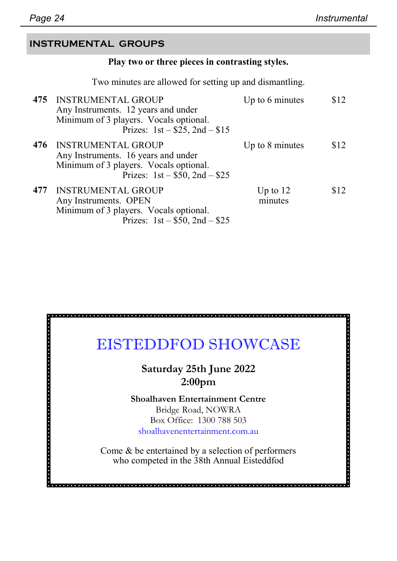## **INSTRUMENTAL GROUPS**

#### **Play two or three pieces in contrasting styles.**

Two minutes are allowed for setting up and dismantling.

|     | 475 INSTRUMENTAL GROUP<br>Any Instruments. 12 years and under<br>Minimum of 3 players. Vocals optional.<br>Prizes: $1st - $25$ , $2nd - $15$    | Up to 6 minutes       | \$12 |
|-----|-------------------------------------------------------------------------------------------------------------------------------------------------|-----------------------|------|
| 476 | <b>INSTRUMENTAL GROUP</b><br>Any Instruments. 16 years and under<br>Minimum of 3 players. Vocals optional.<br>Prizes: $1st - $50$ , $2nd - $25$ | Up to 8 minutes       | \$12 |
| 477 | <b>INSTRUMENTAL GROUP</b><br>Any Instruments. OPEN<br>Minimum of 3 players. Vocals optional.<br>Prizes: $1st - $50$ , $2nd - $25$               | Up to $12$<br>minutes | \$12 |

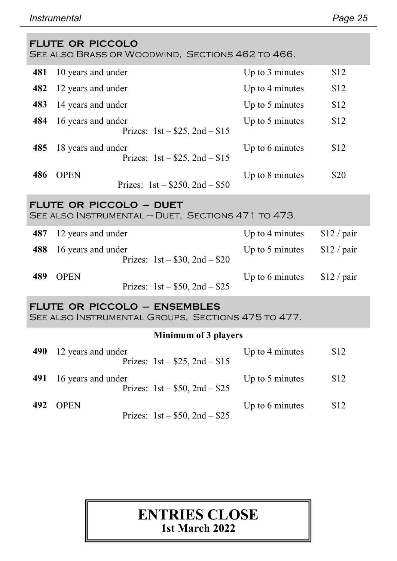|     | <b>FLUTE OR PICCOLO</b><br>SEE ALSO BRASS OR WOODWIND, SECTIONS 462 TO 466.   |                 |              |
|-----|-------------------------------------------------------------------------------|-----------------|--------------|
| 481 | 10 years and under                                                            | Up to 3 minutes | \$12         |
| 482 | 12 years and under                                                            | Up to 4 minutes | \$12         |
| 483 | 14 years and under                                                            | Up to 5 minutes | \$12         |
| 484 | 16 years and under<br>Prizes: $1st - $25$ , $2nd - $15$                       | Up to 5 minutes | \$12         |
| 485 | 18 years and under<br>Prizes: $1st - $25$ , $2nd - $15$                       | Up to 6 minutes | \$12         |
| 486 | <b>OPEN</b><br>Prizes: $1st - $250$ , $2nd - $50$                             | Up to 8 minutes | \$20         |
|     | FLUTE OR PICCOLO - DUET<br>SEE ALSO INSTRUMENTAL - DUET, SECTIONS 471 TO 473. |                 |              |
| 487 | 12 years and under                                                            | Up to 4 minutes | $$12$ / pair |
| 488 | 16 years and under<br>Prizes: $1st - $30$ , $2nd - $20$                       | Up to 5 minutes | $$12$ / pair |
| 489 | <b>OPEN</b><br>Prizes: $1st - $50$ , $2nd - $25$                              | Up to 6 minutes | $$12$ / pair |

### **FLUTE OR PICCOLO — ENSEMBLES**

See also Instrumental Groups, Sections 475 to 477.

#### **Minimum of 3 players**

| 490 | 12 years and under<br>Prizes: $1st - $25$ , $2nd - $15$ | Up to 4 minutes<br>\$12 |
|-----|---------------------------------------------------------|-------------------------|
| 491 | 16 years and under<br>Prizes: $1st - $50$ , $2nd - $25$ | \$12<br>Up to 5 minutes |
| 492 | <b>OPEN</b><br>Prizes: $1st - $50$ , $2nd - $25$        | Up to 6 minutes<br>\$12 |

## **ENTRIES CLOSE 1st March 2022**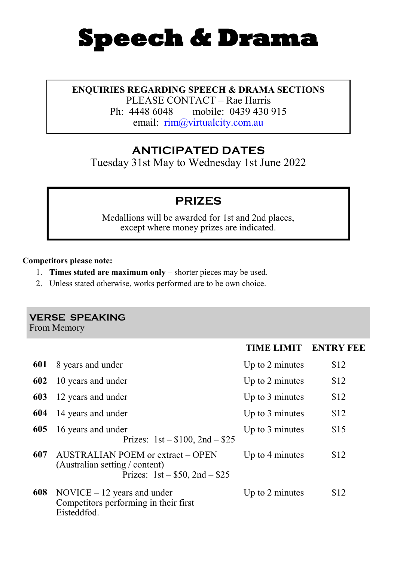# <span id="page-27-0"></span>**Speech & Drama**

**ENQUIRIES REGARDING SPEECH & DRAMA SECTIONS** PLEASE CONTACT – Rae Harris Ph: 4448 6048 mobile: 0439 430 915 email:  $rim@virtualcity.com.au$ 

## **ANTICIPATED DATES**

Tuesday 31st May to Wednesday 1st June 2022

## **PRIZES**

Medallions will be awarded for 1st and 2nd places, except where money prizes are indicated.

#### **Competitors please note:**

- 1. **Times stated are maximum only**  shorter pieces may be used.
- 2. Unless stated otherwise, works performed are to be own choice.

## **VERSE SPEAKING**

From Memory

|                                                                                                          | TIME LIMIT      | <b>ENTRY FEE</b> |
|----------------------------------------------------------------------------------------------------------|-----------------|------------------|
| 8 years and under                                                                                        | Up to 2 minutes | \$12             |
| 10 years and under                                                                                       | Up to 2 minutes | \$12             |
| 12 years and under                                                                                       | Up to 3 minutes | \$12             |
| 14 years and under                                                                                       | Up to 3 minutes | \$12             |
| 16 years and under<br>Prizes: $1st - $100$ , $2nd - $25$                                                 | Up to 3 minutes | \$15             |
| AUSTRALIAN POEM or extract – OPEN<br>(Australian setting / content)<br>Prizes: $1st - $50$ , $2nd - $25$ | Up to 4 minutes | \$12             |
| $NOVICE - 12$ years and under<br>Competitors performing in their first<br>Eisteddfod.                    | Up to 2 minutes | \$12             |
|                                                                                                          |                 |                  |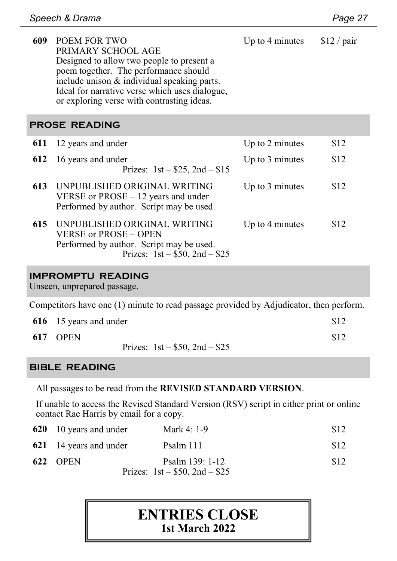| 609 | POEM FOR TWO<br>PRIMARY SCHOOL AGE<br>Designed to allow two people to present a<br>poem together. The performance should<br>include unison & individual speaking parts.<br>Ideal for narrative verse which uses dialogue,<br>or exploring verse with contrasting ideas. | Up to $4 \text{ minutes}$ | $$12$ / pair |
|-----|-------------------------------------------------------------------------------------------------------------------------------------------------------------------------------------------------------------------------------------------------------------------------|---------------------------|--------------|
|     | PROSE READING                                                                                                                                                                                                                                                           |                           |              |
| 611 | 12 years and under                                                                                                                                                                                                                                                      | Up to 2 minutes           | \$12         |
| 612 | 16 years and under<br>Prizes: $1st - $25$ , $2nd - $15$                                                                                                                                                                                                                 | Up to 3 minutes           | \$12         |
| 613 | UNPUBLISHED ORIGINAL WRITING<br>VERSE or $PROSE - 12$ years and under<br>Performed by author. Script may be used.                                                                                                                                                       | Up to 3 minutes           | \$12         |
| 615 | UNPUBLISHED ORIGINAL WRITING<br><b>VERSE or PROSE – OPEN</b><br>Performed by author. Script may be used.<br>Prizes: $1st - $50$ , $2nd - $25$                                                                                                                           | Up to 4 minutes           | \$12         |

#### **IMPROMPTU READING**

Unseen, unprepared passage.

Competitors have one (1) minute to read passage provided by Adjudicator, then perform.

| 616 15 years and under |  |  |  | \$12 |
|------------------------|--|--|--|------|
| 617 OPEN               |  |  |  | \$12 |

Prizes: 1st – \$50, 2nd – \$25

#### **BIBLE READING**

All passages to be read from the **REVISED STANDARD VERSION**.

If unable to access the Revised Standard Version (RSV) script in either print or online contact Rae Harris by email for a copy.

| 620 10 years and under | Mark 4: 1-9                                          | \$12 |
|------------------------|------------------------------------------------------|------|
| 621 14 years and under | Psalm 111                                            | \$12 |
| <b>622 OPEN</b>        | Psalm 139: 1-12<br>Prizes: $1st - $50$ , $2nd - $25$ | \$12 |
|                        |                                                      |      |

## **ENTRIES CLOSE 1st March 2022**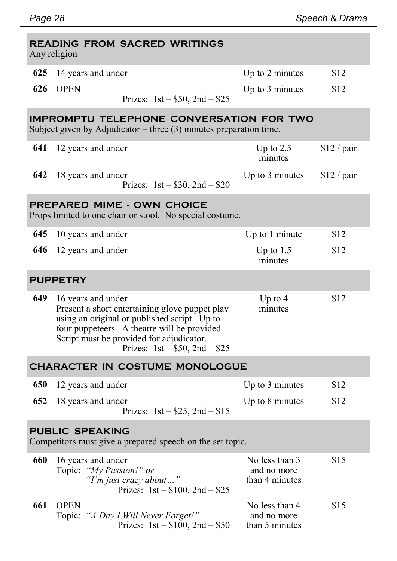|                                                                                     | <b>READING FROM SACRED WRITINGS</b><br>Any religion                                                                                                                                                                                                   |                                                 |              |  |
|-------------------------------------------------------------------------------------|-------------------------------------------------------------------------------------------------------------------------------------------------------------------------------------------------------------------------------------------------------|-------------------------------------------------|--------------|--|
| 625                                                                                 | 14 years and under                                                                                                                                                                                                                                    | Up to 2 minutes                                 | \$12         |  |
| 626                                                                                 | <b>OPEN</b><br>Prizes: $1st - $50$ , $2nd - $25$                                                                                                                                                                                                      | Up to 3 minutes                                 | \$12         |  |
|                                                                                     | <b>IMPROMPTU TELEPHONE CONVERSATION FOR TWO</b><br>Subject given by Adjudicator – three $(3)$ minutes preparation time.                                                                                                                               |                                                 |              |  |
| 641                                                                                 | 12 years and under                                                                                                                                                                                                                                    | Up to $2.5$<br>minutes                          | $$12$ / pair |  |
| 642                                                                                 | 18 years and under<br>Prizes: $1st - $30$ , $2nd - $20$                                                                                                                                                                                               | Up to 3 minutes                                 | \$12 / pair  |  |
|                                                                                     | <b>PREPARED MIME - OWN CHOICE</b><br>Props limited to one chair or stool. No special costume.                                                                                                                                                         |                                                 |              |  |
| 645                                                                                 | 10 years and under                                                                                                                                                                                                                                    | Up to 1 minute                                  | \$12         |  |
| 646                                                                                 | 12 years and under                                                                                                                                                                                                                                    | Up to $1.5$<br>minutes                          | \$12         |  |
|                                                                                     | <b>PUPPETRY</b>                                                                                                                                                                                                                                       |                                                 |              |  |
| 649                                                                                 | 16 years and under<br>Present a short entertaining glove puppet play<br>using an original or published script. Up to<br>four puppeteers. A theatre will be provided.<br>Script must be provided for adjudicator.<br>Prizes: $1st - $50$ , $2nd - $25$ | Up to $4$<br>minutes                            | \$12         |  |
|                                                                                     | CHARACTER IN COSTUME MONOLOGUE                                                                                                                                                                                                                        |                                                 |              |  |
| 650                                                                                 | 12 years and under                                                                                                                                                                                                                                    | Up to 3 minutes                                 | \$12         |  |
| 652                                                                                 | 18 years and under<br>Prizes: $1st - $25$ , $2nd - $15$                                                                                                                                                                                               | Up to 8 minutes                                 | \$12         |  |
| <b>PUBLIC SPEAKING</b><br>Competitors must give a prepared speech on the set topic. |                                                                                                                                                                                                                                                       |                                                 |              |  |
|                                                                                     | 660 16 years and under<br>Topic: "My Passion!" or<br>"I'm just crazy about"<br>Prizes: $1st - $100$ , $2nd - $25$                                                                                                                                     | No less than 3<br>and no more<br>than 4 minutes | \$15         |  |
| 661                                                                                 | <b>OPEN</b><br>Topic: "A Day I Will Never Forget!"<br>Prizes: $1st - $100$ , $2nd - $50$                                                                                                                                                              | No less than 4<br>and no more<br>than 5 minutes | \$15         |  |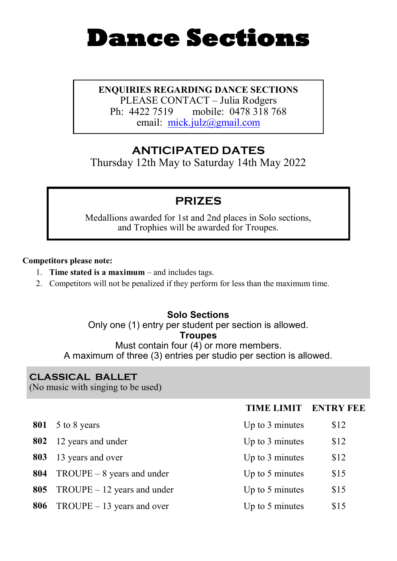## <span id="page-30-0"></span>**Dance Sections**

**ENQUIRIES REGARDING DANCE SECTIONS** PLEASE CONTACT – Julia Rodgers Ph: 4422 7519 mobile: 0478 318 768 email: [mick.julz@gmail.com](mailto:mick.julz@gmail.com)

## **ANTICIPATED DATES**

Thursday 12th May to Saturday 14th May 2022

## **PRIZES**

Medallions awarded for 1st and 2nd places in Solo sections, and Trophies will be awarded for Troupes.

#### **Competitors please note:**

- 1. **Time stated is a maximum**  and includes tags.
- 2. Competitors will not be penalized if they perform for less than the maximum time.

## **Solo Sections**

Only one (1) entry per student per section is allowed.

#### **Troupes**

Must contain four (4) or more members. A maximum of three  $(3)$  entries per studio per section is allowed.

#### **CLASSICAL BALLET**

(No music with singing to be used)

|     |                               | TIME LIMIT      | <b>ENTRY FEE</b> |
|-----|-------------------------------|-----------------|------------------|
| 801 | 5 to 8 years                  | Up to 3 minutes | \$12             |
| 802 | 12 years and under            | Up to 3 minutes | \$12             |
| 803 | 13 years and over             | Up to 3 minutes | \$12             |
| 804 | $TROUPE-8$ years and under    | Up to 5 minutes | \$15             |
| 805 | $TROUPE - 12$ years and under | Up to 5 minutes | \$15             |
| 806 | $TROUPE - 13$ years and over  | Up to 5 minutes | \$15             |
|     |                               |                 |                  |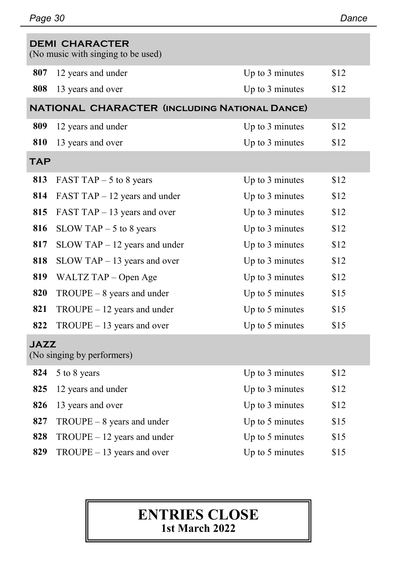|            | <b>DEMI CHARACTER</b><br>(No music with singing to be used) |                 |      |  |  |
|------------|-------------------------------------------------------------|-----------------|------|--|--|
| 807        | 12 years and under                                          | Up to 3 minutes | \$12 |  |  |
| 808        | 13 years and over                                           | Up to 3 minutes | \$12 |  |  |
|            | NATIONAL CHARACTER (INCLUDING NATIONAL DANCE)               |                 |      |  |  |
| 809        | 12 years and under                                          | Up to 3 minutes | \$12 |  |  |
| 810        | 13 years and over                                           | Up to 3 minutes | \$12 |  |  |
| <b>TAP</b> |                                                             |                 |      |  |  |
| 813        | FAST TAP $-5$ to 8 years                                    | Up to 3 minutes | \$12 |  |  |
| 814        | FAST TAP - 12 years and under                               | Up to 3 minutes | \$12 |  |  |
| 815        | FAST TAP – 13 years and over                                | Up to 3 minutes | \$12 |  |  |
| 816        | SLOW TAP $-5$ to 8 years                                    | Up to 3 minutes | \$12 |  |  |
| 817        | $SLOW TAP - 12 years$ and under                             | Up to 3 minutes | \$12 |  |  |
| 818        | $SLOW TAP - 13 years$ and over                              | Up to 3 minutes | \$12 |  |  |
| 819        | WALTZ TAP - Open Age                                        | Up to 3 minutes | \$12 |  |  |
| 820        | $TROUPE - 8$ years and under                                | Up to 5 minutes | \$15 |  |  |
| 821        | $TROUPE - 12$ years and under                               | Up to 5 minutes | \$15 |  |  |
| 822        | $TROUPE - 13$ years and over                                | Up to 5 minutes | \$15 |  |  |
|            | <b>JAZZ</b><br>(No singing by performers)                   |                 |      |  |  |
| 824        | 5 to 8 years                                                | Up to 3 minutes | \$12 |  |  |
| 825        | 12 years and under                                          | Up to 3 minutes | \$12 |  |  |
| 826        | 13 years and over                                           | Up to 3 minutes | \$12 |  |  |
| 827        | $TROUPE - 8$ years and under                                | Up to 5 minutes | \$15 |  |  |
| 828        | $TROUPE - 12$ years and under                               | Up to 5 minutes | \$15 |  |  |
| 829        | $TROUPE - 13$ years and over                                | Up to 5 minutes | \$15 |  |  |

## **ENTRIES CLOSE 1st March 2022**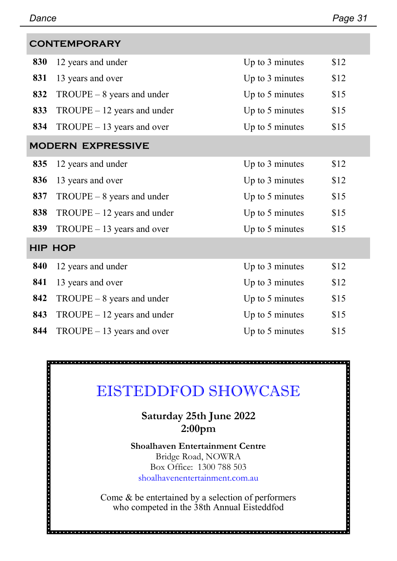|     | <b>CONTEMPORARY</b>                  |                 |      |
|-----|--------------------------------------|-----------------|------|
| 830 | 12 years and under                   | Up to 3 minutes | \$12 |
| 831 | 13 years and over                    | Up to 3 minutes | \$12 |
| 832 | $TROUPE - 8 \text{ years}$ and under | Up to 5 minutes | \$15 |
| 833 | $TROUPE - 12$ years and under        | Up to 5 minutes | \$15 |
| 834 | $TROUPE-13$ years and over           | Up to 5 minutes | \$15 |
|     | <b>MODERN EXPRESSIVE</b>             |                 |      |
| 835 | 12 years and under                   | Up to 3 minutes | \$12 |
| 836 | 13 years and over                    | Up to 3 minutes | \$12 |
| 837 | $TROUPE - 8 \text{ years}$ and under | Up to 5 minutes | \$15 |
| 838 | $TROUPE - 12$ years and under        | Up to 5 minutes | \$15 |
| 839 | $TROUPE - 13 \text{ years}$ and over | Up to 5 minutes | \$15 |
|     | <b>HIP HOP</b>                       |                 |      |
| 840 | 12 years and under                   | Up to 3 minutes | \$12 |
| 841 | 13 years and over                    | Up to 3 minutes | \$12 |
| 842 | $TROUPE - 8 \text{ years}$ and under | Up to 5 minutes | \$15 |
| 843 | $TROUPE - 12$ years and under        | Up to 5 minutes | \$15 |
| 844 | $TROUPE - 13$ years and over         | Up to 5 minutes | \$15 |

## EISTEDDFOD SHOWCASE

**Saturday 25th June 2022 2:00pm**

**Shoalhaven Entertainment Centre** Bridge Road, NOWRA Box Office: 1300 788 503 [shoalhavenentertainment.com.au](http://shoalhavenentertainment.com.au/)

Come & be entertained by a selection of performers who competed in the 38th Annual Eisteddfod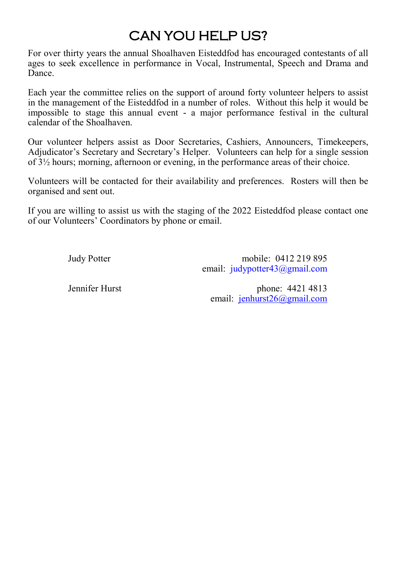## CAN YOU HELP US?

For over thirty years the annual Shoalhaven Eisteddfod has encouraged contestants of all ages to seek excellence in performance in Vocal, Instrumental, Speech and Drama and Dance.

Each year the committee relies on the support of around forty volunteer helpers to assist in the management of the Eisteddfod in a number of roles. Without this help it would be impossible to stage this annual event - a major performance festival in the cultural calendar of the Shoalhaven.

Our volunteer helpers assist as Door Secretaries, Cashiers, Announcers, Timekeepers, Adjudicator's Secretary and Secretary's Helper. Volunteers can help for a single session of 3½ hours; morning, afternoon or evening, in the performance areas of their choice.

Volunteers will be contacted for their availability and preferences. Rosters will then be organised and sent out.

If you are willing to assist us with the staging of the 2022 Eisteddfod please contact one of our Volunteers' Coordinators by phone or email.

Judy Potter mobile: 0412 219 895 email: [judypotter43@gmail.com](mailto:judypotter43@gmail.com)

Jennifer Hurst phone: 4421 4813 email: [jenhurst26@gmail.com](mailto:jenhurst26@gmail.com)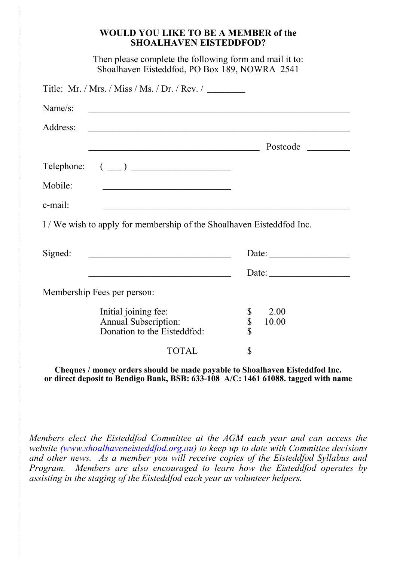#### **WOULD YOU LIKE TO BE A MEMBER of the SHOALHAVEN EISTEDDFOD?**

Then please complete the following form and mail it to: Shoalhaven Eisteddfod, PO Box 189, NOWRA 2541

|          | Title: Mr. / Mrs. / Miss / Ms. / Dr. / Rev. / ________                      |                                                          |
|----------|-----------------------------------------------------------------------------|----------------------------------------------------------|
| Name/s:  |                                                                             |                                                          |
| Address: |                                                                             |                                                          |
|          |                                                                             | Postcode                                                 |
|          |                                                                             |                                                          |
| Mobile:  |                                                                             |                                                          |
| e-mail:  |                                                                             |                                                          |
|          | I / We wish to apply for membership of the Shoalhaven Eisteddfod Inc.       |                                                          |
| Signed:  |                                                                             | Date: $\frac{1}{\sqrt{1-\frac{1}{2}} \cdot \frac{1}{2}}$ |
|          |                                                                             |                                                          |
|          | Membership Fees per person:                                                 |                                                          |
|          | Initial joining fee:<br>Annual Subscription:<br>Donation to the Eisteddfod: | 2.00<br>Տ<br>Տ<br>Տ<br>10.00                             |
|          | TOTAL                                                                       | \$                                                       |

**Cheques / money orders should be made payable to Shoalhaven Eisteddfod Inc. or direct deposit to Bendigo Bank, BSB: 633-108 A/C: 1461 61088. tagged with name**

*Members elect the Eisteddfod Committee at the AGM each year and can access the website [\(www.shoalhaveneisteddfod.org.au\)](http://www.shoalhaveneisteddfod.org.au/) to keep up to date with Committee decisions and other news. As a member you will receive copies of the Eisteddfod Syllabus and Program. Members are also encouraged to learn how the Eisteddfod operates by assisting in the staging of the Eisteddfod each year as volunteer helpers.*